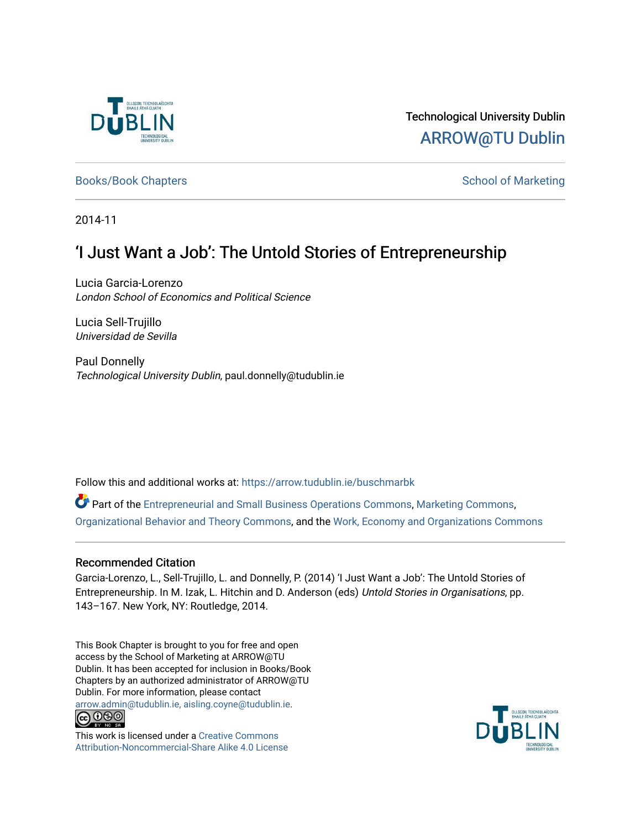

# Technological University Dublin [ARROW@TU Dublin](https://arrow.tudublin.ie/)

[Books/Book Chapters](https://arrow.tudublin.ie/buschmarbk) **School of Marketing** Books/Book Chapters **School of Marketing** 

2014-11

# 'I Just Want a Job': The Untold Stories of Entrepreneurship

Lucia Garcia-Lorenzo London School of Economics and Political Science

Lucia Sell-Trujillo Universidad de Sevilla

Paul Donnelly Technological University Dublin, paul.donnelly@tudublin.ie

Follow this and additional works at: [https://arrow.tudublin.ie/buschmarbk](https://arrow.tudublin.ie/buschmarbk?utm_source=arrow.tudublin.ie%2Fbuschmarbk%2F21&utm_medium=PDF&utm_campaign=PDFCoverPages)

Part of the [Entrepreneurial and Small Business Operations Commons,](http://network.bepress.com/hgg/discipline/630?utm_source=arrow.tudublin.ie%2Fbuschmarbk%2F21&utm_medium=PDF&utm_campaign=PDFCoverPages) [Marketing Commons](http://network.bepress.com/hgg/discipline/638?utm_source=arrow.tudublin.ie%2Fbuschmarbk%2F21&utm_medium=PDF&utm_campaign=PDFCoverPages), [Organizational Behavior and Theory Commons](http://network.bepress.com/hgg/discipline/639?utm_source=arrow.tudublin.ie%2Fbuschmarbk%2F21&utm_medium=PDF&utm_campaign=PDFCoverPages), and the [Work, Economy and Organizations Commons](http://network.bepress.com/hgg/discipline/433?utm_source=arrow.tudublin.ie%2Fbuschmarbk%2F21&utm_medium=PDF&utm_campaign=PDFCoverPages) 

# Recommended Citation

Garcia-Lorenzo, L., Sell-Trujillo, L. and Donnelly, P. (2014) 'I Just Want a Job': The Untold Stories of Entrepreneurship. In M. Izak, L. Hitchin and D. Anderson (eds) Untold Stories in Organisations, pp. 143–167. New York, NY: Routledge, 2014.

This Book Chapter is brought to you for free and open access by the School of Marketing at ARROW@TU Dublin. It has been accepted for inclusion in Books/Book Chapters by an authorized administrator of ARROW@TU Dublin. For more information, please contact [arrow.admin@tudublin.ie, aisling.coyne@tudublin.ie](mailto:arrow.admin@tudublin.ie,%20aisling.coyne@tudublin.ie).



This work is licensed under a [Creative Commons](http://creativecommons.org/licenses/by-nc-sa/4.0/) [Attribution-Noncommercial-Share Alike 4.0 License](http://creativecommons.org/licenses/by-nc-sa/4.0/)

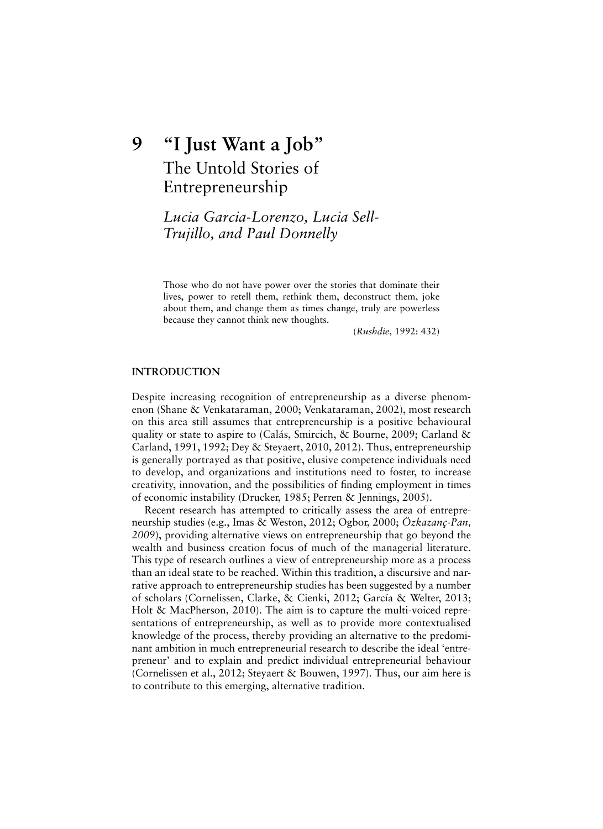# **9 "I Just Want a Job"**  The Untold Stories of Entrepreneurship

 *Lucia Garcia-Lorenzo, Lucia Sell-Trujillo, and Paul Donnelly* 

Those who do not have power over the stories that dominate their lives, power to retell them, rethink them, deconstruct them, joke about them, and change them as times change, truly are powerless because they cannot think new thoughts.

( *Rushdie* , 1992: 432)

## **INTRODUCTION**

Despite increasing recognition of entrepreneurship as a diverse phenomenon (Shane & Venkataraman, 2000; Venkataraman, 2002), most research on this area still assumes that entrepreneurship is a positive behavioural quality or state to aspire to (Calás, Smircich, & Bourne, 2009; Carland & Carland, 1991, 1992; Dey & Steyaert, 2010, 2012). Thus, entrepreneurship is generally portrayed as that positive, elusive competence individuals need to develop, and organizations and institutions need to foster, to increase creativity, innovation, and the possibilities of finding employment in times of economic instability (Drucker, 1985; Perren & Jennings, 2005).

Recent research has attempted to critically assess the area of entrepreneurship studies (e.g., Imas & Weston, 2012; Ogbor, 2000; *Özkazanç-Pan, 2009*), providing alternative views on entrepreneurship that go beyond the wealth and business creation focus of much of the managerial literature. This type of research outlines a view of entrepreneurship more as a process than an ideal state to be reached. Within this tradition, a discursive and narrative approach to entrepreneurship studies has been suggested by a number of scholars (Cornelissen, Clarke, & Cienki, 2012; García & Welter, 2013; Holt & MacPherson, 2010). The aim is to capture the multi-voiced representations of entrepreneurship, as well as to provide more contextualised knowledge of the process, thereby providing an alternative to the predominant ambition in much entrepreneurial research to describe the ideal 'entrepreneur' and to explain and predict individual entrepreneurial behaviour (Cornelissen et al., 2012; Steyaert & Bouwen, 1997). Thus, our aim here is to contribute to this emerging, alternative tradition.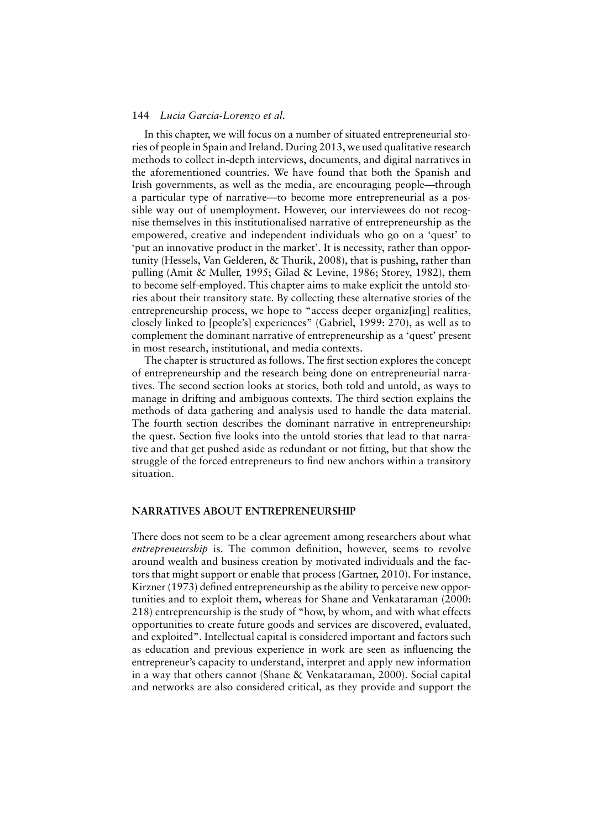In this chapter, we will focus on a number of situated entrepreneurial stories of people in Spain and Ireland. During 2013, we used qualitative research methods to collect in-depth interviews, documents, and digital narratives in the aforementioned countries. We have found that both the Spanish and Irish governments, as well as the media, are encouraging people—through a particular type of narrative—to become more entrepreneurial as a possible way out of unemployment. However, our interviewees do not recognise themselves in this institutionalised narrative of entrepreneurship as the empowered, creative and independent individuals who go on a 'quest' to 'put an innovative product in the market'. It is necessity, rather than opportunity (Hessels, Van Gelderen, & Thurik, 2008), that is pushing, rather than pulling (Amit & Muller, 1995; Gilad & Levine, 1986; Storey, 1982), them to become self-employed. This chapter aims to make explicit the untold stories about their transitory state. By collecting these alternative stories of the entrepreneurship process, we hope to "access deeper organiz[ing] realities, closely linked to [people's] experiences" (Gabriel, 1999: 270), as well as to complement the dominant narrative of entrepreneurship as a 'quest' present in most research, institutional, and media contexts.

The chapter is structured as follows. The first section explores the concept of entrepreneurship and the research being done on entrepreneurial narratives. The second section looks at stories, both told and untold, as ways to manage in drifting and ambiguous contexts. The third section explains the methods of data gathering and analysis used to handle the data material. The fourth section describes the dominant narrative in entrepreneurship: the quest. Section five looks into the untold stories that lead to that narrative and that get pushed aside as redundant or not fitting, but that show the struggle of the forced entrepreneurs to find new anchors within a transitory situation.

## **NARRATIVES ABOUT ENTREPRENEURSHIP**

There does not seem to be a clear agreement among researchers about what *entrepreneurship* is. The common definition, however, seems to revolve around wealth and business creation by motivated individuals and the factors that might support or enable that process (Gartner, 2010). For instance, Kirzner (1973) defined entrepreneurship as the ability to perceive new opportunities and to exploit them, whereas for Shane and Venkataraman (2000: 218) entrepreneurship is the study of "how, by whom, and with what effects opportunities to create future goods and services are discovered, evaluated, and exploited". Intellectual capital is considered important and factors such as education and previous experience in work are seen as influencing the entrepreneur's capacity to understand, interpret and apply new information in a way that others cannot (Shane & Venkataraman, 2000). Social capital and networks are also considered critical, as they provide and support the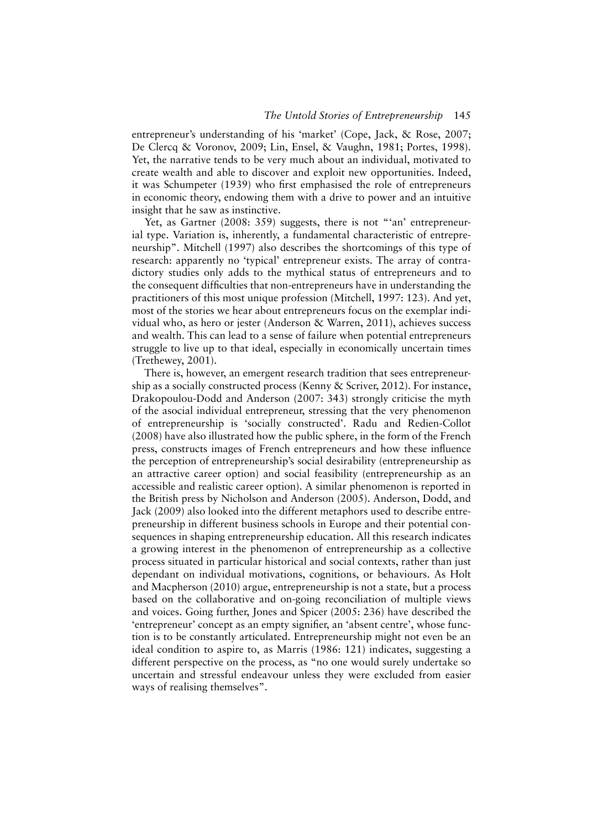entrepreneur's understanding of his 'market' (Cope, Jack, & Rose, 2007; De Clercq & Voronov, 2009; Lin, Ensel, & Vaughn, 1981; Portes, 1998). Yet, the narrative tends to be very much about an individual, motivated to create wealth and able to discover and exploit new opportunities. Indeed, it was Schumpeter (1939) who first emphasised the role of entrepreneurs in economic theory, endowing them with a drive to power and an intuitive insight that he saw as instinctive.

Yet, as Gartner (2008: 359) suggests, there is not "'an' entrepreneurial type. Variation is, inherently, a fundamental characteristic of entrepreneurship". Mitchell (1997) also describes the shortcomings of this type of research: apparently no 'typical' entrepreneur exists. The array of contradictory studies only adds to the mythical status of entrepreneurs and to the consequent difficulties that non-entrepreneurs have in understanding the practitioners of this most unique profession (Mitchell, 1997: 123). And yet, most of the stories we hear about entrepreneurs focus on the exemplar individual who, as hero or jester (Anderson & Warren, 2011), achieves success and wealth. This can lead to a sense of failure when potential entrepreneurs struggle to live up to that ideal, especially in economically uncertain times (Trethewey, 2001).

There is, however, an emergent research tradition that sees entrepreneurship as a socially constructed process (Kenny & Scriver, 2012). For instance, Drakopoulou-Dodd and Anderson (2007: 343) strongly criticise the myth of the asocial individual entrepreneur, stressing that the very phenomenon of entrepreneurship is 'socially constructed'. Radu and Redien-Collot (2008) have also illustrated how the public sphere, in the form of the French press, constructs images of French entrepreneurs and how these influence the perception of entrepreneurship's social desirability (entrepreneurship as an attractive career option) and social feasibility (entrepreneurship as an accessible and realistic career option). A similar phenomenon is reported in the British press by Nicholson and Anderson (2005). Anderson, Dodd, and Jack (2009) also looked into the different metaphors used to describe entrepreneurship in different business schools in Europe and their potential consequences in shaping entrepreneurship education. All this research indicates a growing interest in the phenomenon of entrepreneurship as a collective process situated in particular historical and social contexts, rather than just dependant on individual motivations, cognitions, or behaviours. As Holt and Macpherson (2010) argue, entrepreneurship is not a state, but a process based on the collaborative and on-going reconciliation of multiple views and voices. Going further, Jones and Spicer (2005: 236) have described the 'entrepreneur' concept as an empty signifier, an 'absent centre', whose function is to be constantly articulated. Entrepreneurship might not even be an ideal condition to aspire to, as Marris (1986: 121) indicates, suggesting a different perspective on the process, as "no one would surely undertake so uncertain and stressful endeavour unless they were excluded from easier ways of realising themselves".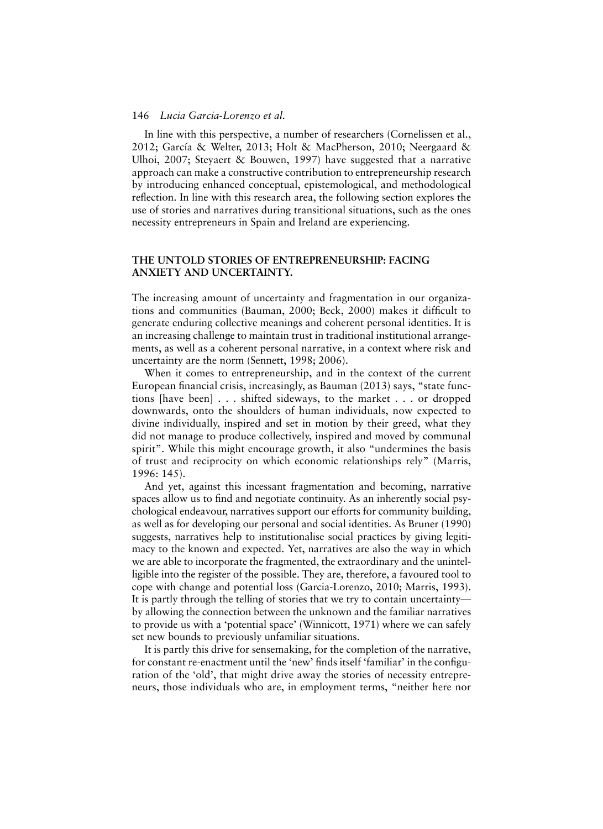In line with this perspective, a number of researchers (Cornelissen et al., 2012; García & Welter, 2013; Holt & MacPherson, 2010; Neergaard & Ulhoi, 2007; Steyaert & Bouwen, 1997) have suggested that a narrative approach can make a constructive contribution to entrepreneurship research by introducing enhanced conceptual, epistemological, and methodological reflection. In line with this research area, the following section explores the use of stories and narratives during transitional situations, such as the ones necessity entrepreneurs in Spain and Ireland are experiencing.

# **THE UNTOLD STORIES OF ENTREPRENEURSHIP: FACING ANXIETY AND UNCERTAINTY.**

The increasing amount of uncertainty and fragmentation in our organizations and communities (Bauman, 2000; Beck, 2000) makes it difficult to generate enduring collective meanings and coherent personal identities. It is an increasing challenge to maintain trust in traditional institutional arrangements, as well as a coherent personal narrative, in a context where risk and uncertainty are the norm (Sennett, 1998; 2006).

When it comes to entrepreneurship, and in the context of the current European financial crisis, increasingly, as Bauman (2013) says, "state functions [have been] . . . shifted sideways, to the market . . . or dropped downwards, onto the shoulders of human individuals, now expected to divine individually, inspired and set in motion by their greed, what they did not manage to produce collectively, inspired and moved by communal spirit". While this might encourage growth, it also "undermines the basis of trust and reciprocity on which economic relationships rely" (Marris, 1996: 145).

And yet, against this incessant fragmentation and becoming, narrative spaces allow us to find and negotiate continuity. As an inherently social psychological endeavour, narratives support our efforts for community building, as well as for developing our personal and social identities. As Bruner (1990) suggests, narratives help to institutionalise social practices by giving legitimacy to the known and expected. Yet, narratives are also the way in which we are able to incorporate the fragmented, the extraordinary and the unintelligible into the register of the possible. They are, therefore, a favoured tool to cope with change and potential loss (Garcia-Lorenzo, 2010; Marris, 1993). It is partly through the telling of stories that we try to contain uncertainty by allowing the connection between the unknown and the familiar narratives to provide us with a 'potential space' (Winnicott, 1971) where we can safely set new bounds to previously unfamiliar situations.

It is partly this drive for sensemaking, for the completion of the narrative, for constant re-enactment until the 'new' finds itself 'familiar' in the configuration of the 'old', that might drive away the stories of necessity entrepreneurs, those individuals who are, in employment terms, "neither here nor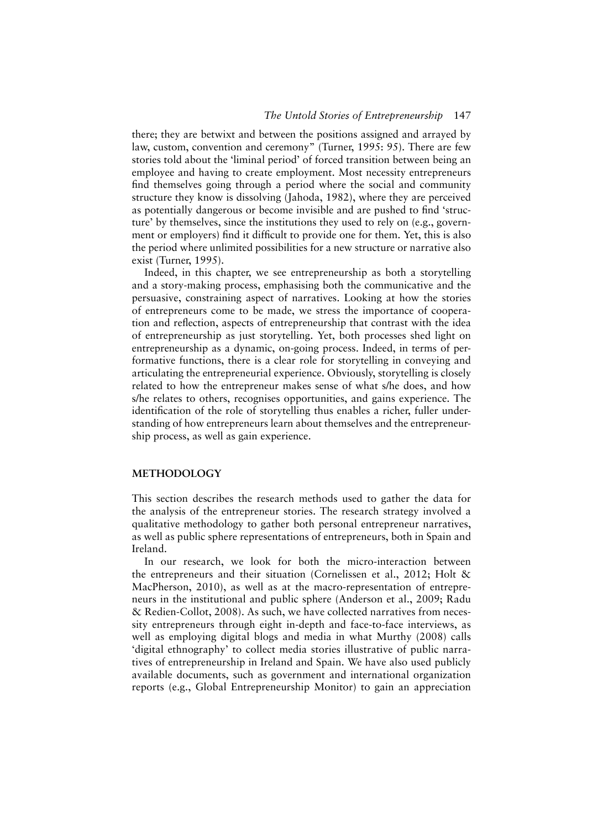## *The Untold Stories of Entrepreneurship* 147

there; they are betwixt and between the positions assigned and arrayed by law, custom, convention and ceremony" (Turner, 1995: 95). There are few stories told about the 'liminal period' of forced transition between being an employee and having to create employment. Most necessity entrepreneurs find themselves going through a period where the social and community structure they know is dissolving (Jahoda, 1982), where they are perceived as potentially dangerous or become invisible and are pushed to find 'structure' by themselves, since the institutions they used to rely on (e.g., government or employers) find it difficult to provide one for them. Yet, this is also the period where unlimited possibilities for a new structure or narrative also exist (Turner, 1995).

Indeed, in this chapter, we see entrepreneurship as both a storytelling and a story-making process, emphasising both the communicative and the persuasive, constraining aspect of narratives. Looking at how the stories of entrepreneurs come to be made, we stress the importance of cooperation and reflection, aspects of entrepreneurship that contrast with the idea of entrepreneurship as just storytelling. Yet, both processes shed light on entrepreneurship as a dynamic, on-going process. Indeed, in terms of performative functions, there is a clear role for storytelling in conveying and articulating the entrepreneurial experience. Obviously, storytelling is closely related to how the entrepreneur makes sense of what s/he does, and how s/he relates to others, recognises opportunities, and gains experience. The identification of the role of storytelling thus enables a richer, fuller understanding of how entrepreneurs learn about themselves and the entrepreneurship process, as well as gain experience.

# **METHODOLOGY**

This section describes the research methods used to gather the data for the analysis of the entrepreneur stories. The research strategy involved a qualitative methodology to gather both personal entrepreneur narratives, as well as public sphere representations of entrepreneurs, both in Spain and Ireland.

In our research, we look for both the micro-interaction between the entrepreneurs and their situation (Cornelissen et al., 2012; Holt & MacPherson, 2010), as well as at the macro-representation of entrepreneurs in the institutional and public sphere (Anderson et al., 2009; Radu & Redien-Collot, 2008). As such, we have collected narratives from necessity entrepreneurs through eight in-depth and face-to-face interviews, as well as employing digital blogs and media in what Murthy (2008) calls 'digital ethnography' to collect media stories illustrative of public narratives of entrepreneurship in Ireland and Spain. We have also used publicly available documents, such as government and international organization reports (e.g., Global Entrepreneurship Monitor) to gain an appreciation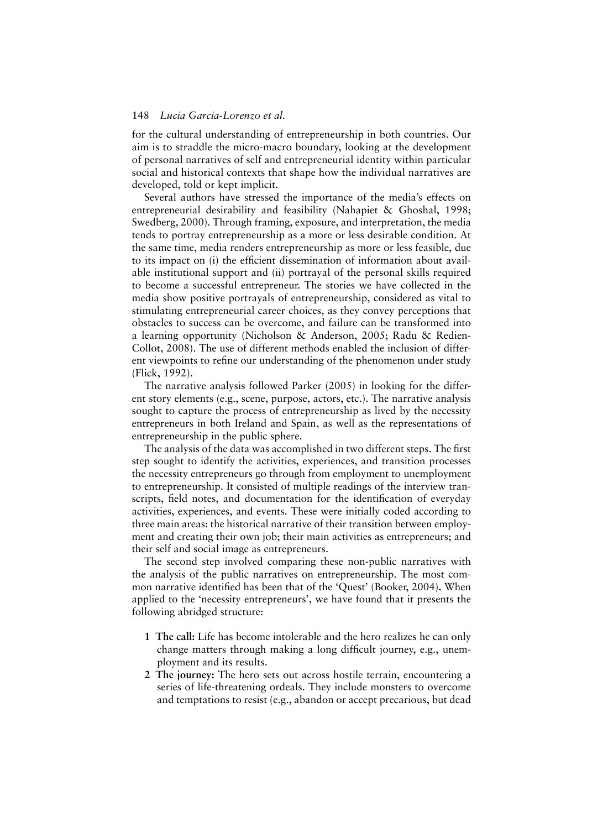for the cultural understanding of entrepreneurship in both countries. Our aim is to straddle the micro-macro boundary, looking at the development of personal narratives of self and entrepreneurial identity within particular social and historical contexts that shape how the individual narratives are developed, told or kept implicit.

Several authors have stressed the importance of the media's effects on entrepreneurial desirability and feasibility (Nahapiet & Ghoshal, 1998; Swedberg, 2000). Through framing, exposure, and interpretation, the media tends to portray entrepreneurship as a more or less desirable condition. At the same time, media renders entrepreneurship as more or less feasible, due to its impact on (i) the efficient dissemination of information about available institutional support and (ii) portrayal of the personal skills required to become a successful entrepreneur. The stories we have collected in the media show positive portrayals of entrepreneurship, considered as vital to stimulating entrepreneurial career choices, as they convey perceptions that obstacles to success can be overcome, and failure can be transformed into a learning opportunity (Nicholson & Anderson, 2005; Radu & Redien-Collot, 2008). The use of different methods enabled the inclusion of different viewpoints to refine our understanding of the phenomenon under study (Flick, 1992).

The narrative analysis followed Parker (2005) in looking for the different story elements (e.g., scene, purpose, actors, etc.). The narrative analysis sought to capture the process of entrepreneurship as lived by the necessity entrepreneurs in both Ireland and Spain, as well as the representations of entrepreneurship in the public sphere.

The analysis of the data was accomplished in two different steps. The first step sought to identify the activities, experiences, and transition processes the necessity entrepreneurs go through from employment to unemployment to entrepreneurship. It consisted of multiple readings of the interview transcripts, field notes, and documentation for the identification of everyday activities, experiences, and events. These were initially coded according to three main areas: the historical narrative of their transition between employment and creating their own job; their main activities as entrepreneurs; and their self and social image as entrepreneurs.

The second step involved comparing these non-public narratives with the analysis of the public narratives on entrepreneurship. The most common narrative identified has been that of the 'Quest' (Booker, 2004). When applied to the 'necessity entrepreneurs', we have found that it presents the following abridged structure:

- **1 The call:** Life has become intolerable and the hero realizes he can only change matters through making a long difficult journey, e.g., unemployment and its results.
- **2 The journey:** The hero sets out across hostile terrain, encountering a series of life-threatening ordeals. They include monsters to overcome and temptations to resist (e.g., abandon or accept precarious, but dead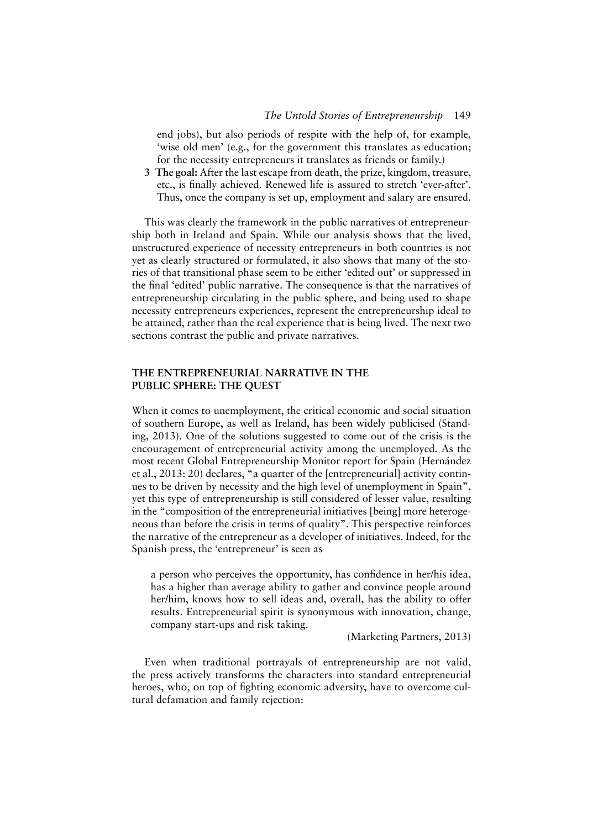end jobs), but also periods of respite with the help of, for example, 'wise old men' (e.g., for the government this translates as education; for the necessity entrepreneurs it translates as friends or family.)

**3 The goal:** After the last escape from death, the prize, kingdom, treasure, etc., is finally achieved. Renewed life is assured to stretch 'ever-after'. Thus, once the company is set up, employment and salary are ensured.

This was clearly the framework in the public narratives of entrepreneurship both in Ireland and Spain. While our analysis shows that the lived, unstructured experience of necessity entrepreneurs in both countries is not yet as clearly structured or formulated, it also shows that many of the stories of that transitional phase seem to be either 'edited out' or suppressed in the final 'edited' public narrative. The consequence is that the narratives of entrepreneurship circulating in the public sphere, and being used to shape necessity entrepreneurs experiences, represent the entrepreneurship ideal to be attained, rather than the real experience that is being lived. The next two sections contrast the public and private narratives.

# **THE ENTREPRENEURIAL NARRATIVE IN THE PUBLIC SPHERE: THE QUEST**

When it comes to unemployment, the critical economic and social situation of southern Europe, as well as Ireland, has been widely publicised (Standing, 2013). One of the solutions suggested to come out of the crisis is the encouragement of entrepreneurial activity among the unemployed. As the most recent Global Entrepreneurship Monitor report for Spain (Hernández et al., 2013: 20) declares, "a quarter of the [entrepreneurial] activity continues to be driven by necessity and the high level of unemployment in Spain", yet this type of entrepreneurship is still considered of lesser value, resulting in the "composition of the entrepreneurial initiatives [being] more heterogeneous than before the crisis in terms of quality". This perspective reinforces the narrative of the entrepreneur as a developer of initiatives. Indeed, for the Spanish press, the 'entrepreneur' is seen as

a person who perceives the opportunity, has confidence in her/his idea, has a higher than average ability to gather and convince people around her/him, knows how to sell ideas and, overall, has the ability to offer results. Entrepreneurial spirit is synonymous with innovation, change, company start-ups and risk taking.

(Marketing Partners, 2013)

Even when traditional portrayals of entrepreneurship are not valid, the press actively transforms the characters into standard entrepreneurial heroes, who, on top of fighting economic adversity, have to overcome cultural defamation and family rejection: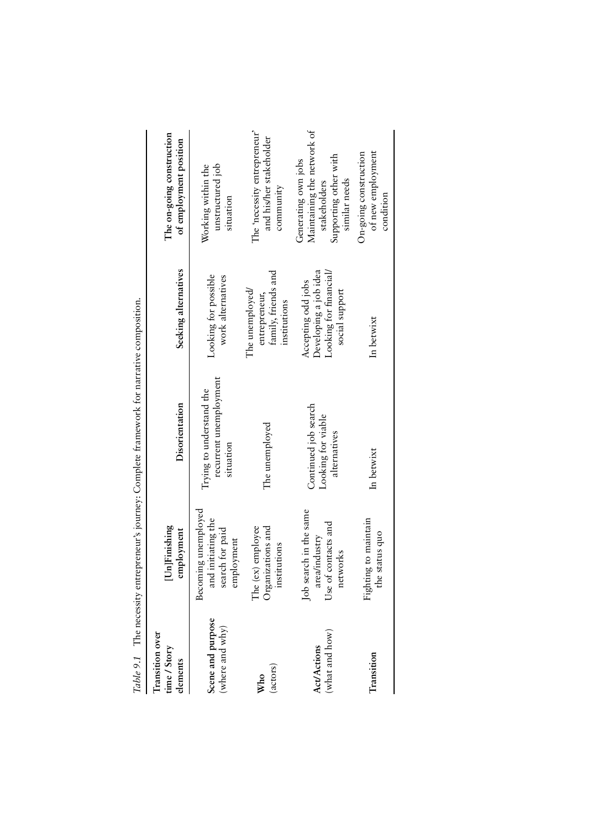| 1.7.20                                      |                                                                            | "The measurest in the main complete the main species of the main species in the sequence of the sequence of the sequence of the sequence of the sequence of the sequence of the sequence of the sequence of the sequence of th |                                                                                        |                                                                                                             |
|---------------------------------------------|----------------------------------------------------------------------------|--------------------------------------------------------------------------------------------------------------------------------------------------------------------------------------------------------------------------------|----------------------------------------------------------------------------------------|-------------------------------------------------------------------------------------------------------------|
| Transition over<br>time / Story<br>elements | <b>[Un]Finishing</b><br>employment                                         | Disorientation                                                                                                                                                                                                                 | Seeking alternatives                                                                   | The on-going construction<br>of employment position                                                         |
| Scene and purpose<br>(where and why)        | Becoming unemployed<br>and initiating the<br>search for paid<br>employment | recurrent unemployment<br>Trying to understand the<br>situation                                                                                                                                                                | Looking for possible<br>work alternatives                                              | unstructured job<br>Working within the<br>situation                                                         |
| (actors)<br>Who                             | The (ex) employee<br>Organizations and<br>institutions                     | The unemployed                                                                                                                                                                                                                 | family, friends and<br>The unemployed/<br>entrepreneur,<br>institutions                | The 'necessity entrepreneur'<br>and his/her stakeholder<br>community                                        |
| (what and how)<br>Act/Actions               | ob search in the same<br>Jse of contacts and<br>area/industry<br>networks  | Continued job search<br>Looking for viable<br>alternatives                                                                                                                                                                     | Developing a job idea<br>Looking for financial<br>Accepting odd jobs<br>social support | Maintaining the network of<br>Supporting other with<br>Generating own jobs<br>similar needs<br>stakeholders |
| Transition                                  | Fighting to maintain<br>the status quo                                     | In betwixt                                                                                                                                                                                                                     | In betwixt                                                                             | of new employment<br>On-going construction<br>condition                                                     |

Table 9.1 The necessity entrepreneur's journey: Complete framework for narrative composition. *Table 9.1* The necessity entrepreneur's journey: Complete framework for narrative composition.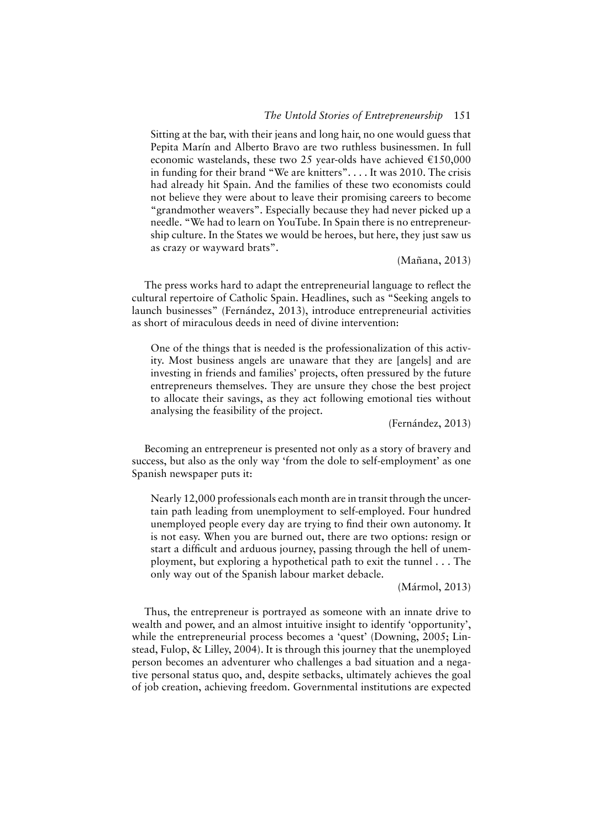## *The Untold Stories of Entrepreneurship* 151

Sitting at the bar, with their jeans and long hair, no one would guess that Pepita Marín and Alberto Bravo are two ruthless businessmen. In full economic wastelands, these two 25 year-olds have achieved  $\epsilon$ 150,000 in funding for their brand "We are knitters". . . . It was 2010. The crisis had already hit Spain. And the families of these two economists could not believe they were about to leave their promising careers to become "grandmother weavers". Especially because they had never picked up a needle. "We had to learn on YouTube. In Spain there is no entrepreneurship culture. In the States we would be heroes, but here, they just saw us as crazy or wayward brats".

(Mañana, 2013)

The press works hard to adapt the entrepreneurial language to reflect the cultural repertoire of Catholic Spain. Headlines, such as "Seeking angels to launch businesses" (Fernández, 2013), introduce entrepreneurial activities as short of miraculous deeds in need of divine intervention:

One of the things that is needed is the professionalization of this activity. Most business angels are unaware that they are [angels] and are investing in friends and families' projects, often pressured by the future entrepreneurs themselves. They are unsure they chose the best project to allocate their savings, as they act following emotional ties without analysing the feasibility of the project.

(Fernández, 2013)

Becoming an entrepreneur is presented not only as a story of bravery and success, but also as the only way 'from the dole to self-employment' as one Spanish newspaper puts it:

Nearly 12,000 professionals each month are in transit through the uncertain path leading from unemployment to self-employed. Four hundred unemployed people every day are trying to find their own autonomy. It is not easy. When you are burned out, there are two options: resign or start a difficult and arduous journey, passing through the hell of unemployment, but exploring a hypothetical path to exit the tunnel . . . The only way out of the Spanish labour market debacle.

(Mármol, 2013)

Thus, the entrepreneur is portrayed as someone with an innate drive to wealth and power, and an almost intuitive insight to identify 'opportunity', while the entrepreneurial process becomes a 'quest' (Downing, 2005; Linstead, Fulop, & Lilley, 2004). It is through this journey that the unemployed person becomes an adventurer who challenges a bad situation and a negative personal status quo, and, despite setbacks, ultimately achieves the goal of job creation, achieving freedom. Governmental institutions are expected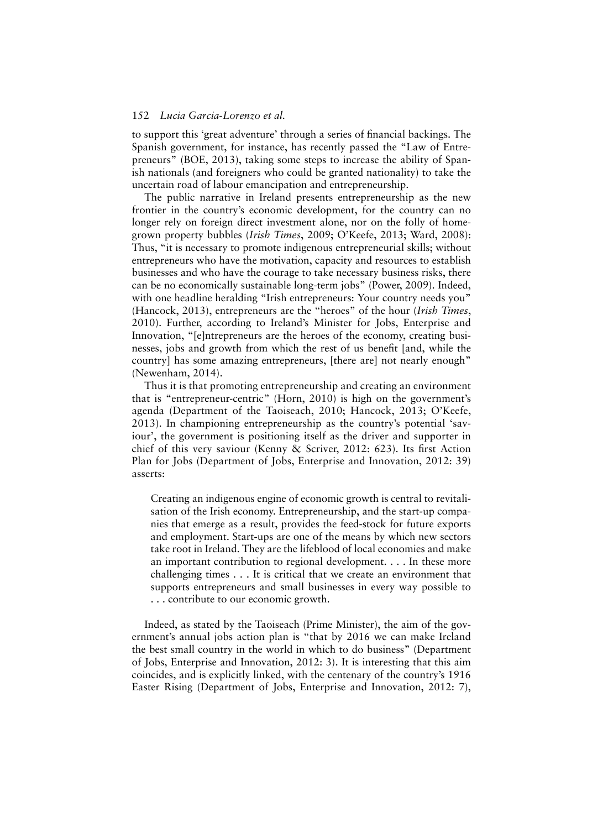to support this 'great adventure' through a series of financial backings. The Spanish government, for instance, has recently passed the "Law of Entrepreneurs" (BOE, 2013), taking some steps to increase the ability of Spanish nationals (and foreigners who could be granted nationality) to take the uncertain road of labour emancipation and entrepreneurship.

The public narrative in Ireland presents entrepreneurship as the new frontier in the country's economic development, for the country can no longer rely on foreign direct investment alone, nor on the folly of homegrown property bubbles (Irish Times, 2009; O'Keefe, 2013; Ward, 2008): Thus, "it is necessary to promote indigenous entrepreneurial skills; without entrepreneurs who have the motivation, capacity and resources to establish businesses and who have the courage to take necessary business risks, there can be no economically sustainable long-term jobs" (Power, 2009). Indeed, with one headline heralding "Irish entrepreneurs: Your country needs you" (Hancock, 2013), entrepreneurs are the "heroes" of the hour (*Irish Times*, 2010). Further, according to Ireland's Minister for Jobs, Enterprise and Innovation, "[e]ntrepreneurs are the heroes of the economy, creating businesses, jobs and growth from which the rest of us benefit [and, while the country] has some amazing entrepreneurs, [there are] not nearly enough" (Newenham, 2014).

Thus it is that promoting entrepreneurship and creating an environment that is "entrepreneur-centric" (Horn, 2010) is high on the government's agenda (Department of the Taoiseach, 2010; Hancock, 2013; O'Keefe, 2013). In championing entrepreneurship as the country's potential 'saviour', the government is positioning itself as the driver and supporter in chief of this very saviour (Kenny & Scriver, 2012: 623). Its first Action Plan for Jobs (Department of Jobs, Enterprise and Innovation, 2012: 39) asserts:

Creating an indigenous engine of economic growth is central to revitalisation of the Irish economy. Entrepreneurship, and the start **-**up companies that emerge as a result, provides the feed **-**stock for future exports and employment. Start-ups are one of the means by which new sectors take root in Ireland. They are the lifeblood of local economies and make an important contribution to regional development. . . . In these more challenging times . . . It is critical that we create an environment that supports entrepreneurs and small businesses in every way possible to . . . contribute to our economic growth.

Indeed, as stated by the Taoiseach (Prime Minister), the aim of the government's annual jobs action plan is "that by 2016 we can make Ireland the best small country in the world in which to do business" (Department of Jobs, Enterprise and Innovation, 2012: 3). It is interesting that this aim coincides, and is explicitly linked, with the centenary of the country's 1916 Easter Rising (Department of Jobs, Enterprise and Innovation, 2012: 7),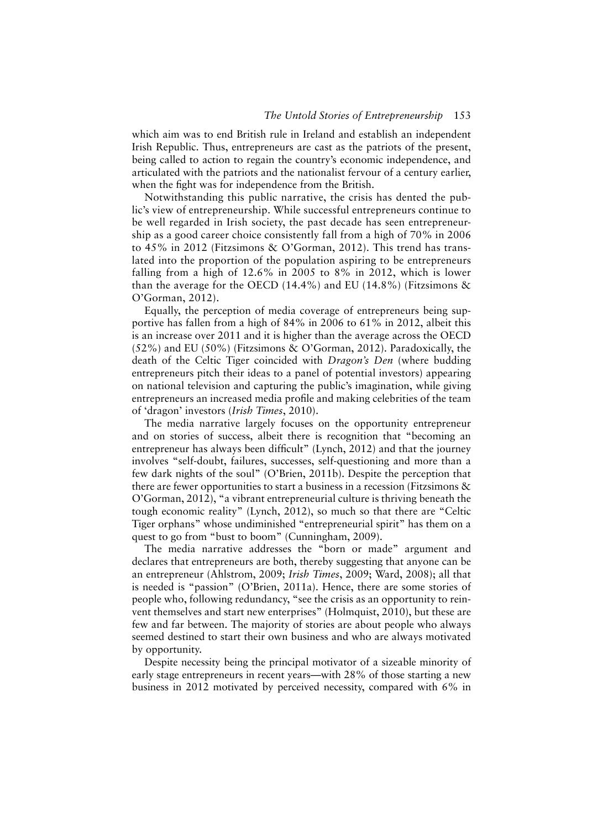which aim was to end British rule in Ireland and establish an independent Irish Republic. Thus, entrepreneurs are cast as the patriots of the present, being called to action to regain the country's economic independence, and articulated with the patriots and the nationalist fervour of a century earlier, when the fight was for independence from the British.

Notwithstanding this public narrative, the crisis has dented the public's view of entrepreneurship. While successful entrepreneurs continue to be well regarded in Irish society, the past decade has seen entrepreneurship as a good career choice consistently fall from a high of 70% in 2006 to 45% in 2012 (Fitzsimons & O'Gorman, 2012). This trend has translated into the proportion of the population aspiring to be entrepreneurs falling from a high of 12.6% in 2005 to 8% in 2012, which is lower than the average for the OECD  $(14.4\%)$  and EU  $(14.8\%)$  (Fitzsimons & O'Gorman, 2012).

Equally, the perception of media coverage of entrepreneurs being supportive has fallen from a high of 84% in 2006 to 61% in 2012, albeit this is an increase over 2011 and it is higher than the average across the OECD (52%) and EU (50%) (Fitzsimons & O'Gorman, 2012). Paradoxically, the death of the Celtic Tiger coincided with *Dragon's Den* (where budding entrepreneurs pitch their ideas to a panel of potential investors) appearing on national television and capturing the public's imagination, while giving entrepreneurs an increased media profile and making celebrities of the team of 'dragon' investors ( *Irish Times*, 2010).

The media narrative largely focuses on the opportunity entrepreneur and on stories of success, albeit there is recognition that "becoming an entrepreneur has always been difficult" (Lynch, 2012) and that the journey involves "self-doubt, failures, successes, self-questioning and more than a few dark nights of the soul" (O'Brien, 2011b). Despite the perception that there are fewer opportunities to start a business in a recession (Fitzsimons & O'Gorman, 2012), "a vibrant entrepreneurial culture is thriving beneath the tough economic reality" (Lynch, 2012), so much so that there are "Celtic Tiger orphans" whose undiminished "entrepreneurial spirit" has them on a quest to go from "bust to boom" (Cunningham, 2009).

The media narrative addresses the "born or made" argument and declares that entrepreneurs are both, thereby suggesting that anyone can be an entrepreneur (Ahlstrom, 2009; *Irish Times*, 2009; Ward, 2008); all that is needed is "passion" (O'Brien, 2011a). Hence, there are some stories of people who, following redundancy, "see the crisis as an opportunity to reinvent themselves and start new enterprises" (Holmquist, 2010), but these are few and far between. The majority of stories are about people who always seemed destined to start their own business and who are always motivated by opportunity.

Despite necessity being the principal motivator of a sizeable minority of early stage entrepreneurs in recent years—with 28% of those starting a new business in 2012 motivated by perceived necessity, compared with 6% in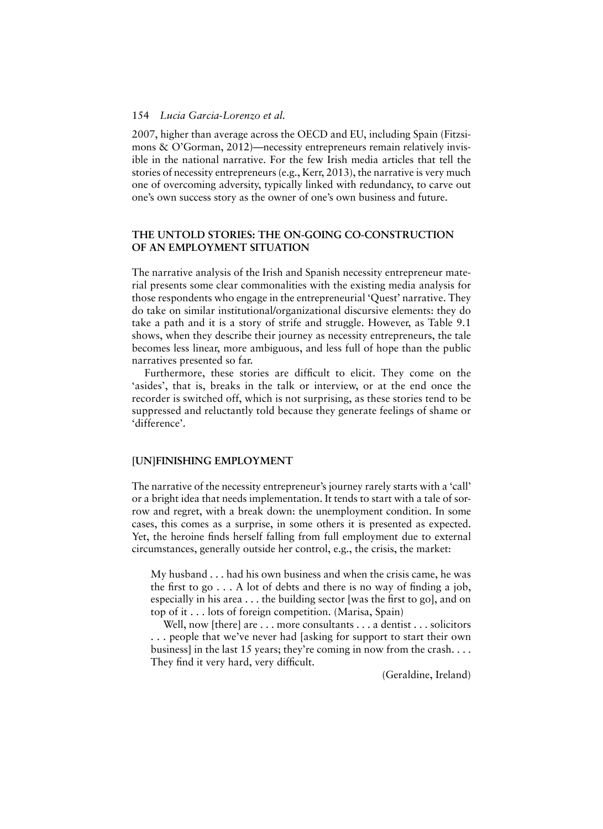2007, higher than average across the OECD and EU, including Spain (Fitzsimons & O'Gorman, 2012)—necessity entrepreneurs remain relatively invisible in the national narrative. For the few Irish media articles that tell the stories of necessity entrepreneurs (e.g., Kerr, 2013), the narrative is very much one of overcoming adversity, typically linked with redundancy, to carve out one's own success story as the owner of one's own business and future.

# **THE UNTOLD STORIES: THE ON-GOING CO-CONSTRUCTION OF AN EMPLOYMENT SITUATION**

The narrative analysis of the Irish and Spanish necessity entrepreneur material presents some clear commonalities with the existing media analysis for those respondents who engage in the entrepreneurial 'Quest' narrative. They do take on similar institutional/organizational discursive elements: they do take a path and it is a story of strife and struggle. However, as Table 9.1 shows, when they describe their journey as necessity entrepreneurs, the tale becomes less linear, more ambiguous, and less full of hope than the public narratives presented so far.

Furthermore, these stories are difficult to elicit. They come on the 'asides', that is, breaks in the talk or interview, or at the end once the recorder is switched off, which is not surprising, as these stories tend to be suppressed and reluctantly told because they generate feelings of shame or 'difference'.

# **[UN]FINISHING EMPLOYMENT**

The narrative of the necessity entrepreneur's journey rarely starts with a 'call' or a bright idea that needs implementation. It tends to start with a tale of sorrow and regret, with a break down: the unemployment condition. In some cases, this comes as a surprise, in some others it is presented as expected. Yet, the heroine finds herself falling from full employment due to external circumstances, generally outside her control, e.g., the crisis, the market:

My husband . . . had his own business and when the crisis came, he was the first to go  $\dots$  A lot of debts and there is no way of finding a job, especially in his area  $\dots$  the building sector [was the first to go], and on top of it . . . lots of foreign competition. (Marisa, Spain)

Well, now [there] are . . . more consultants . . . a dentist . . . solicitors . . . people that we've never had [asking for support to start their own business] in the last 15 years; they're coming in now from the crash. . . . They find it very hard, very difficult.

(Geraldine, Ireland)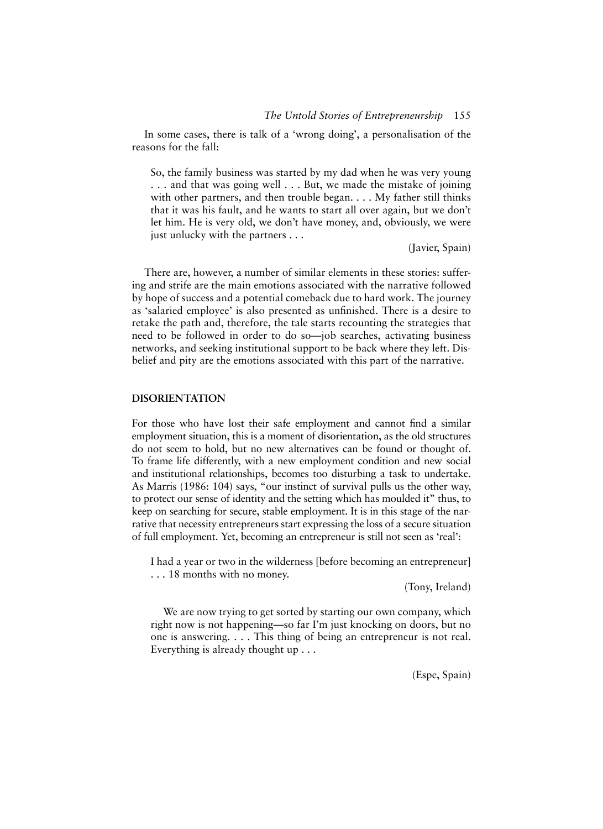In some cases, there is talk of a 'wrong doing', a personalisation of the reasons for the fall:

So, the family business was started by my dad when he was very young . . . and that was going well . . . But, we made the mistake of joining with other partners, and then trouble began. . . . My father still thinks that it was his fault, and he wants to start all over again, but we don't let him. He is very old, we don't have money, and, obviously, we were just unlucky with the partners . . .

(Javier, Spain)

There are, however, a number of similar elements in these stories: suffering and strife are the main emotions associated with the narrative followed by hope of success and a potential comeback due to hard work. The journey as 'salaried employee' is also presented as unfinished. There is a desire to retake the path and, therefore, the tale starts recounting the strategies that need to be followed in order to do so—job searches, activating business networks, and seeking institutional support to be back where they left. Disbelief and pity are the emotions associated with this part of the narrative.

# **DISORIENTATION**

For those who have lost their safe employment and cannot find a similar employment situation, this is a moment of disorientation, as the old structures do not seem to hold, but no new alternatives can be found or thought of. To frame life differently, with a new employment condition and new social and institutional relationships, becomes too disturbing a task to undertake. As Marris (1986: 104) says, "our instinct of survival pulls us the other way, to protect our sense of identity and the setting which has moulded it" thus, to keep on searching for secure, stable employment. It is in this stage of the narrative that necessity entrepreneurs start expressing the loss of a secure situation of full employment. Yet, becoming an entrepreneur is still not seen as 'real':

I had a year or two in the wilderness [before becoming an entrepreneur] . . . 18 months with no money.

(Tony, Ireland)

We are now trying to get sorted by starting our own company, which right now is not happening—so far I'm just knocking on doors, but no one is answering. . . . This thing of being an entrepreneur is not real. Everything is already thought up . . .

(Espe, Spain)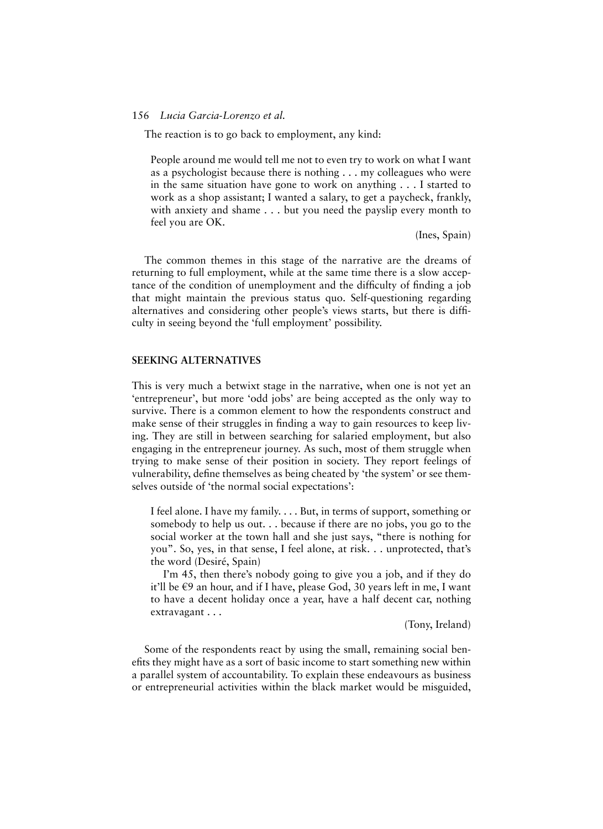The reaction is to go back to employment, any kind:

People around me would tell me not to even try to work on what I want as a psychologist because there is nothing . . . my colleagues who were in the same situation have gone to work on anything . . . I started to work as a shop assistant; I wanted a salary, to get a paycheck, frankly, with anxiety and shame . . . but you need the payslip every month to feel you are OK.

(Ines, Spain)

The common themes in this stage of the narrative are the dreams of returning to full employment, while at the same time there is a slow acceptance of the condition of unemployment and the difficulty of finding a job that might maintain the previous status quo. Self-questioning regarding alternatives and considering other people's views starts, but there is difficulty in seeing beyond the 'full employment' possibility.

# **SEEKING ALTERNATIVES**

This is very much a betwixt stage in the narrative, when one is not yet an 'entrepreneur', but more 'odd jobs' are being accepted as the only way to survive. There is a common element to how the respondents construct and make sense of their struggles in finding a way to gain resources to keep living. They are still in between searching for salaried employment, but also engaging in the entrepreneur journey. As such, most of them struggle when trying to make sense of their position in society. They report feelings of vulnerability, define themselves as being cheated by 'the system' or see themselves outside of 'the normal social expectations':

I feel alone. I have my family. . . . But, in terms of support, something or somebody to help us out. . . because if there are no jobs, you go to the social worker at the town hall and she just says, "there is nothing for you". So, yes, in that sense, I feel alone, at risk. . . unprotected, that's the word (Desiré, Spain)

I'm 45, then there's nobody going to give you a job, and if they do it'll be €9 an hour, and if I have, please God, 30 years left in me, I want to have a decent holiday once a year, have a half decent car, nothing extravagant . . .

(Tony, Ireland)

Some of the respondents react by using the small, remaining social benefits they might have as a sort of basic income to start something new within a parallel system of accountability. To explain these endeavours as business or entrepreneurial activities within the black market would be misguided,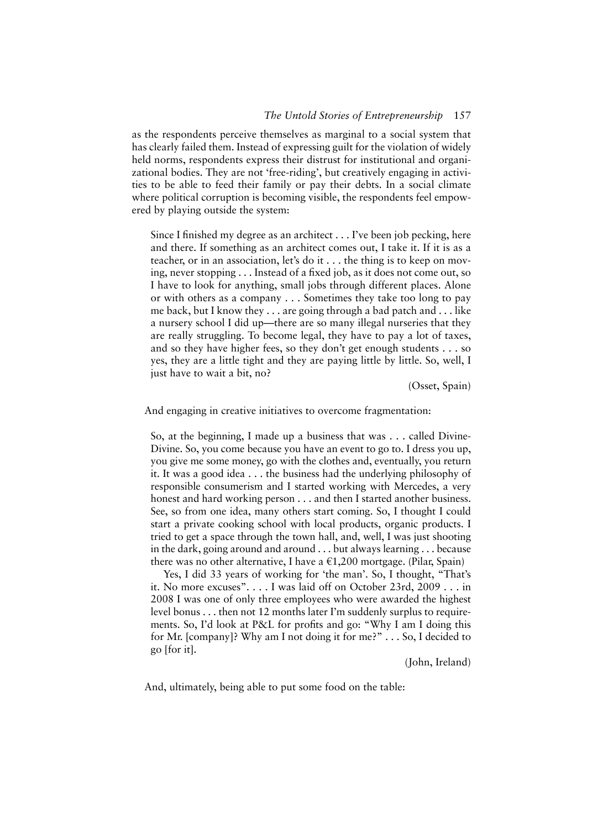## *The Untold Stories of Entrepreneurship* 157

as the respondents perceive themselves as marginal to a social system that has clearly failed them. Instead of expressing guilt for the violation of widely held norms, respondents express their distrust for institutional and organizational bodies. They are not 'free-riding', but creatively engaging in activities to be able to feed their family or pay their debts. In a social climate where political corruption is becoming visible, the respondents feel empowered by playing outside the system:

Since I finished my degree as an architect  $\ldots$  I've been job pecking, here and there. If something as an architect comes out, I take it. If it is as a teacher, or in an association, let's do it . . . the thing is to keep on moving, never stopping  $\dots$  Instead of a fixed job, as it does not come out, so I have to look for anything, small jobs through different places. Alone or with others as a company . . . Sometimes they take too long to pay me back, but I know they . . . are going through a bad patch and . . . like a nursery school I did up—there are so many illegal nurseries that they are really struggling. To become legal, they have to pay a lot of taxes, and so they have higher fees, so they don't get enough students . . . so yes, they are a little tight and they are paying little by little. So, well, I just have to wait a bit, no?

(Osset, Spain)

And engaging in creative initiatives to overcome fragmentation:

So, at the beginning, I made up a business that was . . . called Divine-Divine. So, you come because you have an event to go to. I dress you up, you give me some money, go with the clothes and, eventually, you return it. It was a good idea . . . the business had the underlying philosophy of responsible consumerism and I started working with Mercedes, a very honest and hard working person . . . and then I started another business. See, so from one idea, many others start coming. So, I thought I could start a private cooking school with local products, organic products. I tried to get a space through the town hall, and, well, I was just shooting in the dark, going around and around . . . but always learning . . . because there was no other alternative, I have a  $\epsilon$ 1,200 mortgage. (Pilar, Spain)

Yes, I did 33 years of working for 'the man'. So, I thought, "That's it. No more excuses". . . . I was laid off on October 23rd, 2009 . . . in 2008 I was one of only three employees who were awarded the highest level bonus . . . then not 12 months later I'm suddenly surplus to requirements. So, I'd look at P&L for profits and go: "Why I am I doing this for Mr. [company]? Why am I not doing it for me?" . . . So, I decided to go [for it].

(John, Ireland)

And, ultimately, being able to put some food on the table: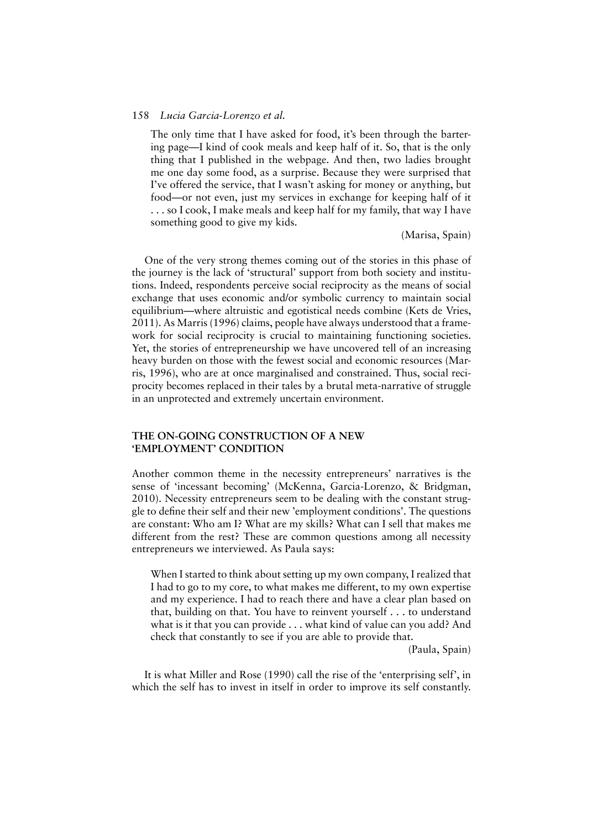The only time that I have asked for food, it's been through the bartering page—I kind of cook meals and keep half of it. So, that is the only thing that I published in the webpage. And then, two ladies brought me one day some food, as a surprise. Because they were surprised that I've offered the service, that I wasn't asking for money or anything, but food—or not even, just my services in exchange for keeping half of it . . . so I cook, I make meals and keep half for my family, that way I have something good to give my kids.

(Marisa, Spain)

One of the very strong themes coming out of the stories in this phase of the journey is the lack of 'structural' support from both society and institutions. Indeed, respondents perceive social reciprocity as the means of social exchange that uses economic and/or symbolic currency to maintain social equilibrium—where altruistic and egotistical needs combine (Kets de Vries, 2011). As Marris (1996) claims, people have always understood that a framework for social reciprocity is crucial to maintaining functioning societies. Yet, the stories of entrepreneurship we have uncovered tell of an increasing heavy burden on those with the fewest social and economic resources (Marris, 1996), who are at once marginalised and constrained. Thus, social reciprocity becomes replaced in their tales by a brutal meta-narrative of struggle in an unprotected and extremely uncertain environment.

## **THE ON-GOING CONSTRUCTION OF A NEW 'EMPLOYMENT' CONDITION**

Another common theme in the necessity entrepreneurs' narratives is the sense of 'incessant becoming' (McKenna, Garcia-Lorenzo, & Bridgman, 2010). Necessity entrepreneurs seem to be dealing with the constant struggle to define their self and their new 'employment conditions'. The questions are constant: Who am I? What are my skills? What can I sell that makes me different from the rest? These are common questions among all necessity entrepreneurs we interviewed. As Paula says:

When I started to think about setting up my own company, I realized that I had to go to my core, to what makes me different, to my own expertise and my experience. I had to reach there and have a clear plan based on that, building on that. You have to reinvent yourself . . . to understand what is it that you can provide . . . what kind of value can you add? And check that constantly to see if you are able to provide that.

(Paula, Spain)

It is what Miller and Rose (1990) call the rise of the 'enterprising self', in which the self has to invest in itself in order to improve its self constantly.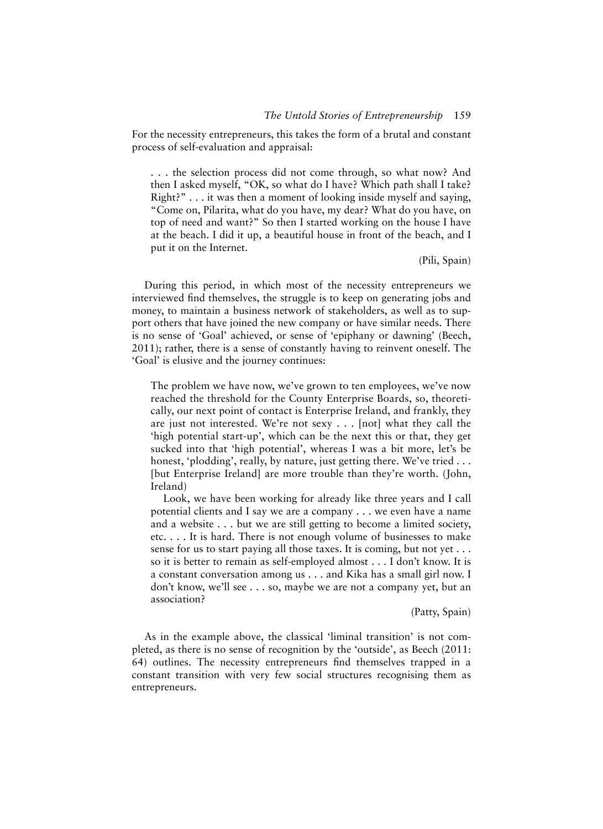For the necessity entrepreneurs, this takes the form of a brutal and constant process of self-evaluation and appraisal:

. . . the selection process did not come through, so what now? And then I asked myself, "OK, so what do I have? Which path shall I take? Right?" . . . it was then a moment of looking inside myself and saying, "Come on, Pilarita, what do you have, my dear? What do you have, on top of need and want?" So then I started working on the house I have at the beach. I did it up, a beautiful house in front of the beach, and I put it on the Internet.

(Pili, Spain)

During this period, in which most of the necessity entrepreneurs we interviewed find themselves, the struggle is to keep on generating jobs and money, to maintain a business network of stakeholders, as well as to support others that have joined the new company or have similar needs. There is no sense of 'Goal' achieved, or sense of 'epiphany or dawning' (Beech, 2011); rather, there is a sense of constantly having to reinvent oneself. The 'Goal' is elusive and the journey continues:

The problem we have now, we've grown to ten employees, we've now reached the threshold for the County Enterprise Boards, so, theoretically, our next point of contact is Enterprise Ireland, and frankly, they are just not interested. We're not sexy . . . [not] what they call the 'high potential start-up', which can be the next this or that, they get sucked into that 'high potential', whereas I was a bit more, let's be honest, 'plodding', really, by nature, just getting there. We've tried ... [but Enterprise Ireland] are more trouble than they're worth. (John, Ireland)

Look, we have been working for already like three years and I call potential clients and I say we are a company . . . we even have a name and a website . . . but we are still getting to become a limited society, etc. . . . It is hard. There is not enough volume of businesses to make sense for us to start paying all those taxes. It is coming, but not yet . . . so it is better to remain as self-employed almost . . . I don't know. It is a constant conversation among us . . . and Kika has a small girl now. I don't know, we'll see . . . so, maybe we are not a company yet, but an association?

(Patty, Spain)

As in the example above, the classical 'liminal transition' is not completed, as there is no sense of recognition by the 'outside', as Beech (2011: 64) outlines. The necessity entrepreneurs find themselves trapped in a constant transition with very few social structures recognising them as entrepreneurs.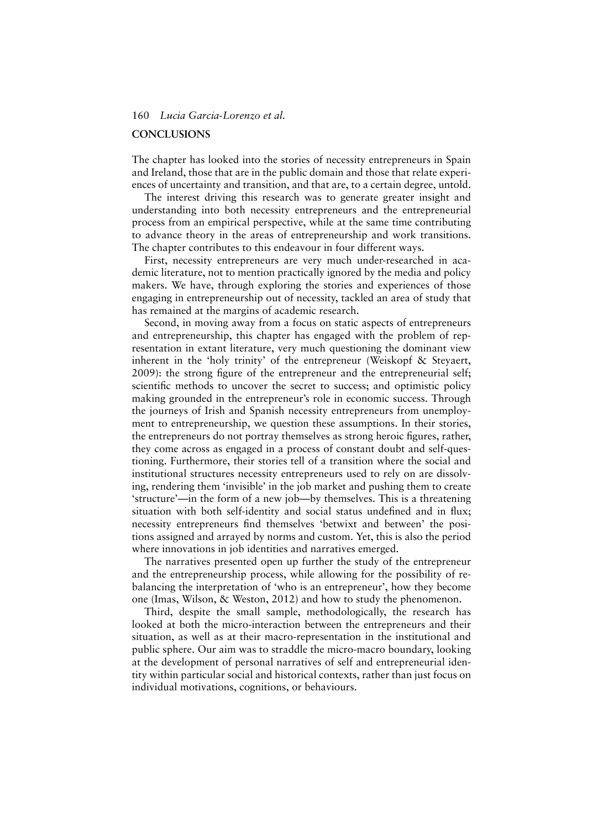### **CONCLUSIONS**

The chapter has looked into the stories of necessity entrepreneurs in Spain and Ireland, those that are in the public domain and those that relate experiences of uncertainty and transition, and that are, to a certain degree, untold.

The interest driving this research was to generate greater insight and understanding into both necessity entrepreneurs and the entrepreneurial process from an empirical perspective, while at the same time contributing to advance theory in the areas of entrepreneurship and work transitions. The chapter contributes to this endeavour in four different ways.

First, necessity entrepreneurs are very much under-researched in academic literature, not to mention practically ignored by the media and policy makers. We have, through exploring the stories and experiences of those engaging in entrepreneurship out of necessity, tackled an area of study that has remained at the margins of academic research.

Second, in moving away from a focus on static aspects of entrepreneurs and entrepreneurship, this chapter has engaged with the problem of representation in extant literature, very much questioning the dominant view inherent in the 'holy trinity' of the entrepreneur (Weiskopf & Steyaert, 2009): the strong figure of the entrepreneur and the entrepreneurial self; scientific methods to uncover the secret to success; and optimistic policy making grounded in the entrepreneur's role in economic success. Through the journeys of Irish and Spanish necessity entrepreneurs from unemployment to entrepreneurship, we question these assumptions. In their stories, the entrepreneurs do not portray themselves as strong heroic figures, rather, they come across as engaged in a process of constant doubt and self-questioning. Furthermore, their stories tell of a transition where the social and institutional structures necessity entrepreneurs used to rely on are dissolving, rendering them 'invisible' in the job market and pushing them to create 'structure'—in the form of a new job—by themselves. This is a threatening situation with both self-identity and social status undefined and in flux; necessity entrepreneurs find themselves 'betwixt and between' the positions assigned and arrayed by norms and custom. Yet, this is also the period where innovations in job identities and narratives emerged.

The narratives presented open up further the study of the entrepreneur and the entrepreneurship process, while allowing for the possibility of rebalancing the interpretation of 'who is an entrepreneur', how they become one (Imas, Wilson, & Weston, 2012) and how to study the phenomenon.

Third, despite the small sample, methodologically, the research has looked at both the micro-interaction between the entrepreneurs and their situation, as well as at their macro-representation in the institutional and public sphere. Our aim was to straddle the micro-macro boundary, looking at the development of personal narratives of self and entrepreneurial identity within particular social and historical contexts, rather than just focus on individual motivations, cognitions, or behaviours.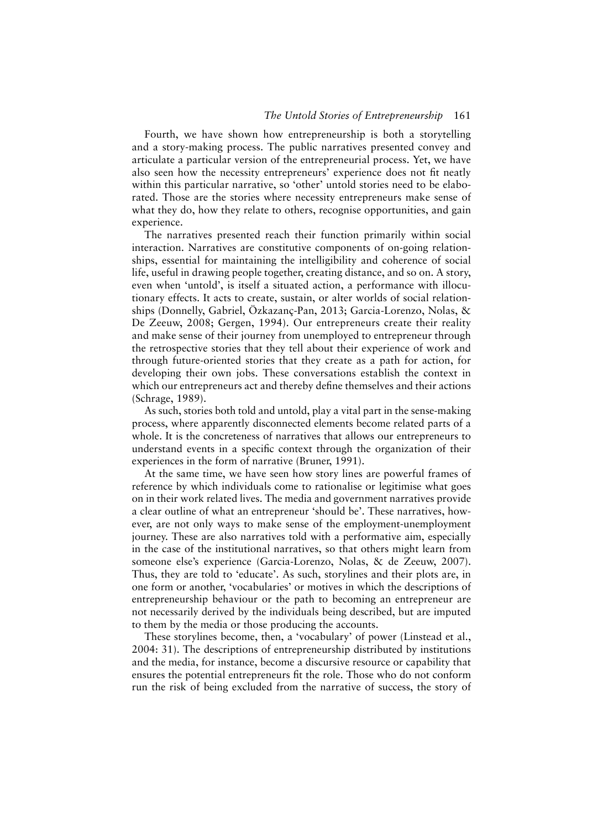## *The Untold Stories of Entrepreneurship* 161

Fourth, we have shown how entrepreneurship is both a storytelling and a story-making process. The public narratives presented convey and articulate a particular version of the entrepreneurial process. Yet, we have also seen how the necessity entrepreneurs' experience does not fit neatly within this particular narrative, so 'other' untold stories need to be elaborated. Those are the stories where necessity entrepreneurs make sense of what they do, how they relate to others, recognise opportunities, and gain experience.

The narratives presented reach their function primarily within social interaction. Narratives are constitutive components of on-going relationships, essential for maintaining the intelligibility and coherence of social life, useful in drawing people together, creating distance, and so on. A story, even when 'untold', is itself a situated action, a performance with illocutionary effects. It acts to create, sustain, or alter worlds of social relationships (Donnelly, Gabriel, Özkazanç-Pan, 2013; Garcia-Lorenzo, Nolas, & De Zeeuw, 2008; Gergen, 1994). Our entrepreneurs create their reality and make sense of their journey from unemployed to entrepreneur through the retrospective stories that they tell about their experience of work and through future-oriented stories that they create as a path for action, for developing their own jobs. These conversations establish the context in which our entrepreneurs act and thereby define themselves and their actions (Schrage, 1989).

As such, stories both told and untold, play a vital part in the sense-making process, where apparently disconnected elements become related parts of a whole. It is the concreteness of narratives that allows our entrepreneurs to understand events in a specific context through the organization of their experiences in the form of narrative (Bruner, 1991).

At the same time, we have seen how story lines are powerful frames of reference by which individuals come to rationalise or legitimise what goes on in their work related lives. The media and government narratives provide a clear outline of what an entrepreneur 'should be'. These narratives, however, are not only ways to make sense of the employment-unemployment journey. These are also narratives told with a performative aim, especially in the case of the institutional narratives, so that others might learn from someone else's experience (Garcia-Lorenzo, Nolas, & de Zeeuw, 2007). Thus, they are told to 'educate'. As such, storylines and their plots are, in one form or another, 'vocabularies' or motives in which the descriptions of entrepreneurship behaviour or the path to becoming an entrepreneur are not necessarily derived by the individuals being described, but are imputed to them by the media or those producing the accounts.

These storylines become, then, a 'vocabulary' of power (Linstead et al., 2004: 31). The descriptions of entrepreneurship distributed by institutions and the media, for instance, become a discursive resource or capability that ensures the potential entrepreneurs fit the role. Those who do not conform run the risk of being excluded from the narrative of success, the story of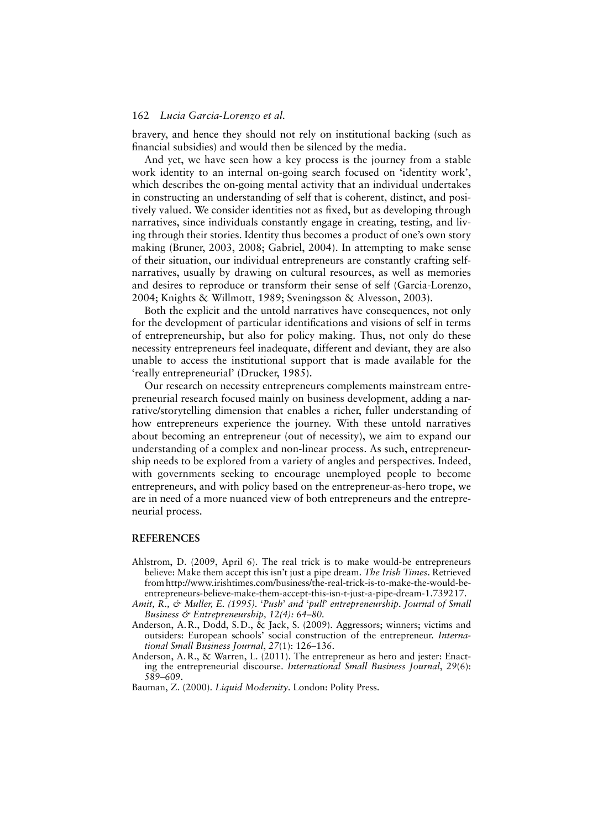bravery, and hence they should not rely on institutional backing (such as financial subsidies) and would then be silenced by the media.

And yet, we have seen how a key process is the journey from a stable work identity to an internal on-going search focused on 'identity work', which describes the on-going mental activity that an individual undertakes in constructing an understanding of self that is coherent, distinct, and positively valued. We consider identities not as fixed, but as developing through narratives, since individuals constantly engage in creating, testing, and living through their stories. Identity thus becomes a product of one's own story making (Bruner, 2003, 2008; Gabriel, 2004). In attempting to make sense of their situation, our individual entrepreneurs are constantly crafting selfnarratives, usually by drawing on cultural resources, as well as memories and desires to reproduce or transform their sense of self (Garcia-Lorenzo, 2004; Knights & Willmott, 1989; Sveningsson & Alvesson, 2003).

Both the explicit and the untold narratives have consequences, not only for the development of particular identifications and visions of self in terms of entrepreneurship, but also for policy making. Thus, not only do these necessity entrepreneurs feel inadequate, different and deviant, they are also unable to access the institutional support that is made available for the 'really entrepreneurial' (Drucker, 1985).

Our research on necessity entrepreneurs complements mainstream entrepreneurial research focused mainly on business development, adding a narrative/storytelling dimension that enables a richer, fuller understanding of how entrepreneurs experience the journey. With these untold narratives about becoming an entrepreneur (out of necessity), we aim to expand our understanding of a complex and non-linear process. As such, entrepreneurship needs to be explored from a variety of angles and perspectives. Indeed, with governments seeking to encourage unemployed people to become entrepreneurs, and with policy based on the entrepreneur-as-hero trope, we are in need of a more nuanced view of both entrepreneurs and the entrepreneurial process.

### **REFERENCES**

- Ahlstrom, D. (2009, April 6). The real trick is to make would-be entrepreneurs believe: Make them accept this isn't just a pipe dream. *The Irish Times*. Retrieved from http://www.irishtimes.com/business/the-real-trick-is-to-make-the-would-beentrepreneurs-believe-make-them-accept-this-isn-t-just-a-pipe-dream-1.739217 .
- *Amit, R., & Muller, E. (1995).* ' *Push* ' *and* ' *pull* ' *entrepreneurship. Journal of Small Business & Entrepreneurship, 12(4): 64* – *80.*
- Anderson, A. R., Dodd, S. D., & Jack, S. (2009). Aggressors; winners; victims and outsiders: European schools' social construction of the entrepreneur. *International Small Business Journal* , *27* (1): 126–136.
- Anderson, A. R., & Warren, L. (2011). The entrepreneur as hero and jester: Enacting the entrepreneurial discourse. *International Small Business Journal*, 29(6): 589–609.

Bauman, Z. (2000). *Liquid Modernity* . London: Polity Press.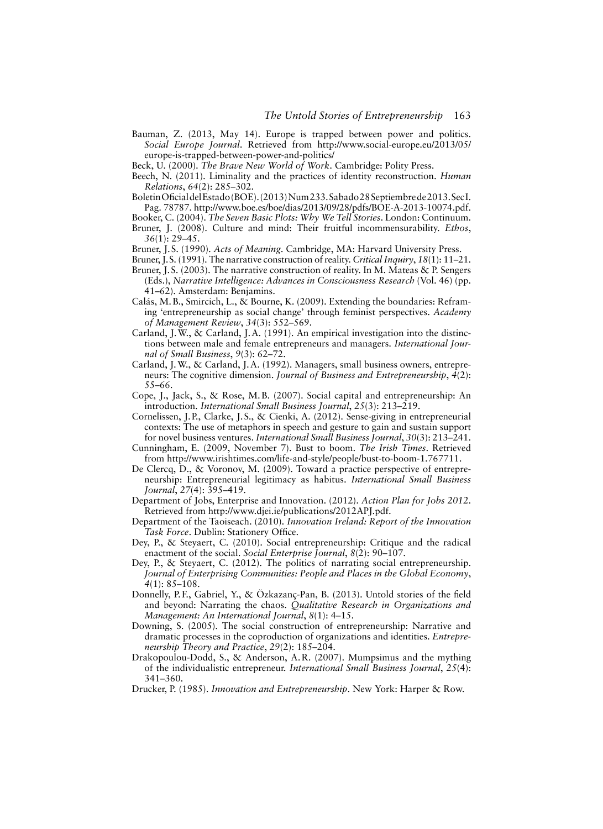Bauman, Z. (2013, May 14). Europe is trapped between power and politics. *Social Europe Journal*. Retrieved from http://www.social-europe.eu/2013/05/ europe-is-trapped-between-power-and-politics/

Beck, U. (2000). *The Brave New World of Work* . Cambridge: Polity Press.

Beech, N. (2011). Liminality and the practices of identity reconstruction. *Human Relations* , *64* (2): 285–302.

Boletin Oficial del Estado (BOE). (2013) Num 233. Sabado 28 Septiembre de 2013. Sec I. Pag. 78787. http://www.boe.es/boe/dias/2013/09/28/pdfs/BOE-A-2013-10074.pdf.

Booker, C. (2004). *The Seven Basic Plots: Why We Tell Stories*. London: Continuum. Bruner, J. (2008). Culture and mind: Their fruitful incommensurability. *Ethos* , *36* (1): 29–45.

Bruner, J. S. (1990). *Acts of Meaning* . Cambridge, MA: Harvard University Press.

- Bruner, J. S. (1991). The narrative construction of reality. *Critical Inquiry*, *18*(1): 11–21.
- Bruner, J. S. (2003). The narrative construction of reality. In M. Mateas & P. Sengers
- (Eds.), *Narrative Intelligence: Advances in Consciousness Research* (Vol. 46) (pp. 41–62). Amsterdam: Benjamins.
- Calás, M. B., Smircich, L., & Bourne, K. (2009). Extending the boundaries: Reframing 'entrepreneurship as social change' through feminist perspectives. *Academy of Management Review* , *34* (3): 552–569.
- Carland, J. W., & Carland, J. A. (1991). An empirical investigation into the distinctions between male and female entrepreneurs and managers. *International Journal of Small Business* , *9* (3): 62–72.
- Carland, J. W., & Carland, J. A. (1992). Managers, small business owners, entrepreneurs: The cognitive dimension. *Journal of Business and Entrepreneurship* , *4* (2): 55–66.
- Cope, J., Jack, S., & Rose, M. B. (2007). Social capital and entrepreneurship: An introduction. *International Small Business Journal*, 25(3): 213–219.
- Cornelissen, J. P., Clarke, J. S., & Cienki, A. (2012). Sense-giving in entrepreneurial contexts: The use of metaphors in speech and gesture to gain and sustain support for novel business ventures. *International Small Business Journal*, *30*(3): 213–241.
- Cunningham, E. (2009, November 7). Bust to boom. *The Irish Times*. Retrieved from http://www.irishtimes.com/life-and-style/people/bust-to-boom-1.767711 .
- De Clercq, D., & Voronov, M. (2009). Toward a practice perspective of entrepreneurship: Entrepreneurial legitimacy as habitus. *International Small Business Journal* , *27* (4): 395–419.
- Department of Jobs, Enterprise and Innovation. (2012). *Action Plan for Jobs 2012* . Retrieved from http://www.djei.ie/publications/2012APJ.pdf.
- Department of the Taoiseach. (2010). *Innovation Ireland: Report of the Innovation Task Force*. Dublin: Stationery Office.
- Dey, P., & Steyaert, C. (2010). Social entrepreneurship: Critique and the radical enactment of the social. *Social Enterprise Journal*,  $8(2)$ : 90-107.
- Dey, P., & Steyaert, C. (2012). The politics of narrating social entrepreneurship. *Journal of Enterprising Communities: People and Places in the Global Economy* , *4* (1): 85–108.
- Donnelly, P.F., Gabriel, Y., & Özkazanç-Pan, B. (2013). Untold stories of the field and beyond: Narrating the chaos. *Qualitative Research in Organizations and Management: An International Journal* , *8* (1): 4–15.
- Downing, S. (2005). The social construction of entrepreneurship: Narrative and dramatic processes in the coproduction of organizations and identities. *Entrepreneurship Theory and Practice* , *29* (2): 185–204.
- Drakopoulou-Dodd, S., & Anderson, A. R. (2007). Mumpsimus and the mything of the individualistic entrepreneur. *International Small Business Journal* , *25* (4): 341–360.
- Drucker, P. (1985). *Innovation and Entrepreneurship* . New York: Harper & Row.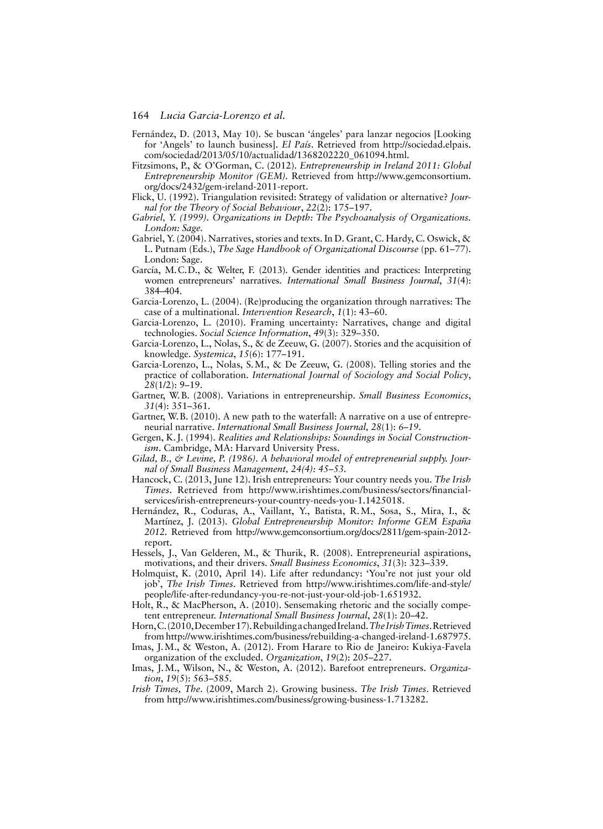- Fernández, D. (2013, May 10). Se buscan 'ángeles' para lanzar negocios [Looking for 'Angels' to launch business]. *El País*. Retrieved from http://sociedad.elpais. com/sociedad/2013/05/10/actualidad/1368202220\_061094.html .
- Fitzsimons, P., & O'Gorman, C. (2012). *Entrepreneurship in Ireland 2011: Global Entrepreneurship Monitor (GEM).* Retrieved from http://www.gemconsortium. org/docs/2432/gem-ireland-2011-report .
- Flick, U. (1992). Triangulation revisited: Strategy of validation or alternative? *Journal for the Theory of Social Behaviour* , *22* (2): 175–197.
- *Gabriel, Y. (1999). Organizations in Depth: The Psychoanalysis of Organizations. London: Sage.*
- Gabriel, Y. (2004). Narratives, stories and texts. In D. Grant, C. Hardy, C. Oswick, & L. Putnam (Eds.), *The Sage Handbook of Organizational Discourse* (pp. 61–77). London: Sage.
- García, M. C. D., & Welter, F. (2013). Gender identities and practices: Interpreting women entrepreneurs' narratives. *International Small Business Journal*, *31*(4): 384–404.
- Garcia-Lorenzo, L. (2004). (Re)producing the organization through narratives: The case of a multinational. *Intervention Research*,  $1(1)$ : 43–60.
- Garcia-Lorenzo, L. (2010). Framing uncertainty: Narratives, change and digital technologies. *Social Science Information* , *49* (3): 329–350.
- Garcia-Lorenzo, L., Nolas, S., & de Zeeuw, G. (2007). Stories and the acquisition of knowledge. *Systemica* , *15* (6): 177–191.
- Garcia-Lorenzo, L., Nolas, S. M., & De Zeeuw, G. (2008). Telling stories and the practice of collaboration. *International Journal of Sociology and Social Policy* , *28* (1/2): 9–19.
- Gartner, W. B. (2008). Variations in entrepreneurship. *Small Business Economics* , *31* (4): 351–361.
- Gartner, W. B. (2010). A new path to the waterfall: A narrative on a use of entrepreneurial narrative. *International Small Business Journal, 28* (1): *6–19.*
- Gergen, K. J. (1994). *Realities and Relationships: Soundings in Social Constructionism* . Cambridge, MA: Harvard University Press.
- *Gilad, B., & Levine, P. (1986). A behavioral model of entrepreneurial supply. Journal of Small Business Management, 24(4): 45–53.*
- Hancock, C. (2013, June 12). Irish entrepreneurs: Your country needs you. *The Irish Times*. Retrieved from http://www.irishtimes.com/business/sectors/financialservices/irish-entrepreneurs-your-country-needs-you-1.1425018 .
- Hernández, R., Coduras, A., Vaillant, Y., Batista, R. M., Sosa, S., Mira, I., & Martínez, J. (2013). *Global Entrepreneurship Monitor: Informe GEM España 2012.* Retrieved from http://www.gemconsortium.org/docs/2811/gem-spain-2012 report.
- Hessels, J., Van Gelderen, M., & Thurik, R. (2008). Entrepreneurial aspirations, motivations, and their drivers. *Small Business Economics* , *31* (3): 323–339.
- Holmquist, K. (2010, April 14). Life after redundancy: 'You're not just your old job', *The Irish Times*. Retrieved from http://www.irishtimes.com/life-and-style/ people/life-after-redundancy-you-re-not-just-your-old-job-1.651932 .
- Holt, R., & MacPherson, A. (2010). Sensemaking rhetoric and the socially competent entrepreneur. *International Small Business Journal* , *28* (1): 20–42.
- Horn, C. (2010, December 17). Rebuilding a changed Ireland. *The Irish Times*. Retrieved from http://www.irishtimes.com/business/rebuilding-a-changed-ireland-1.687975 .
- Imas, J. M., & Weston, A. (2012). From Harare to Rio de Janeiro: Kukiya-Favela organization of the excluded. *Organization*, 19(2): 205-227.
- Imas, J. M., Wilson, N., & Weston, A. (2012). Barefoot entrepreneurs. *Organization*, 19(5): 563-585.
- *Irish Times, The*. (2009, March 2). Growing business. *The Irish Times*. Retrieved from http://www.irishtimes.com/business/growing-business-1.713282.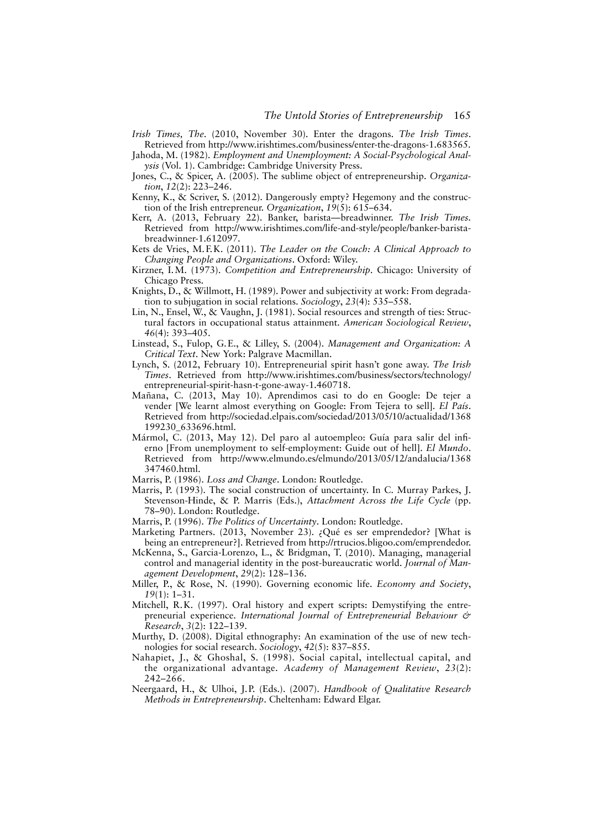- *Irish Times, The*. (2010, November 30). Enter the dragons. *The Irish Times* . Retrieved from http://www.irishtimes.com/business/enter-the-dragons-1.683565 .
- Jahoda, M. (1982). *Employment and Unemployment: A Social-Psychological Analysis* (Vol. 1). Cambridge: Cambridge University Press.
- Jones, C., & Spicer, A. (2005). The sublime object of entrepreneurship. *Organization* , *12* (2): 223–246.
- Kenny, K., & Scriver, S. (2012). Dangerously empty? Hegemony and the construction of the Irish entrepreneur. *Organization*, 19(5): 615–634.
- Kerr, A. (2013, February 22). Banker, barista—breadwinner. *The Irish Times.* Retrieved from http://www.irishtimes.com/life-and-style/people/banker-baristabreadwinner-1.612097 .
- Kets de Vries, M. F. K. (2011). *The Leader on the Couch: A Clinical Approach to Changing People and Organizations* . Oxford: Wiley.
- Kirzner, I. M. (1973). *Competition and Entrepreneurship*. Chicago: University of Chicago Press.
- Knights, D., & Willmott, H. (1989). Power and subjectivity at work: From degradation to subjugation in social relations. *Sociology* , *23* (4): 535–558.
- Lin, N., Ensel, W., & Vaughn, J. (1981). Social resources and strength of ties: Structural factors in occupational status attainment. *American Sociological Review* , *46* (4): 393–405.
- Linstead, S., Fulop, G. E., & Lilley, S. (2004). *Management and Organization: A Critical Text.* New York: Palgrave Macmillan.
- Lynch, S. (2012, February 10). Entrepreneurial spirit hasn't gone away. *The Irish Times*. Retrieved from http://www.irishtimes.com/business/sectors/technology/ entrepreneurial-spirit-hasn-t-gone-away-1.460718 .
- Mañana, C. (2013, May 10). Aprendimos casi to do en Google: De tejer a vender [We learnt almost everything on Google: From Tejera to sell]. *El País* . Retrieved from http://sociedad.elpais.com/sociedad/2013/05/10/actualidad/1368 199230\_633696.html .
- Mármol, C. (2013, May 12). Del paro al autoempleo: Guía para salir del infierno [From unemployment to self-employment: Guide out of hell]. *El Mundo* . Retrieved from http://www.elmundo.es/elmundo/2013/05/12/andalucia/1368 347460.html.
- Marris, P. (1986). *Loss and Change*. London: Routledge.
- Marris, P. (1993). The social construction of uncertainty. In C. Murray Parkes, J. Stevenson-Hinde, & P. Marris (Eds.), *Attachment Across the Life Cycle* (pp. 78–90). London: Routledge.
- Marris, P. (1996). *The Politics of Uncertainty* . London: Routledge.
- Marketing Partners. (2013, November 23). ¿Qué es ser emprendedor? [What is being an entrepreneur?]. Retrieved from http://rtrucios.bligoo.com/emprendedor.
- McKenna, S., Garcia-Lorenzo, L., & Bridgman, T. (2010). Managing, managerial control and managerial identity in the post-bureaucratic world. *Journal of Management Development* , *29* (2): 128–136.
- Miller, P., & Rose, N. (1990). Governing economic life. *Economy and Society* , *19* (1): 1–31.
- Mitchell, R.K. (1997). Oral history and expert scripts: Demystifying the entrepreneurial experience. *International Journal of Entrepreneurial Behaviour & Research* , *3* (2): 122–139.
- Murthy, D. (2008). Digital ethnography: An examination of the use of new technologies for social research. *Sociology* , *42* (5): 837–855.
- Nahapiet, J., & Ghoshal, S. (1998). Social capital, intellectual capital, and the organizational advantage. *Academy of Management Review*, *23*(2): 242–266.
- Neergaard, H., & Ulhoi, J. P. (Eds.). (2007). *Handbook of Qualitative Research Methods in Entrepreneurship* . Cheltenham: Edward Elgar.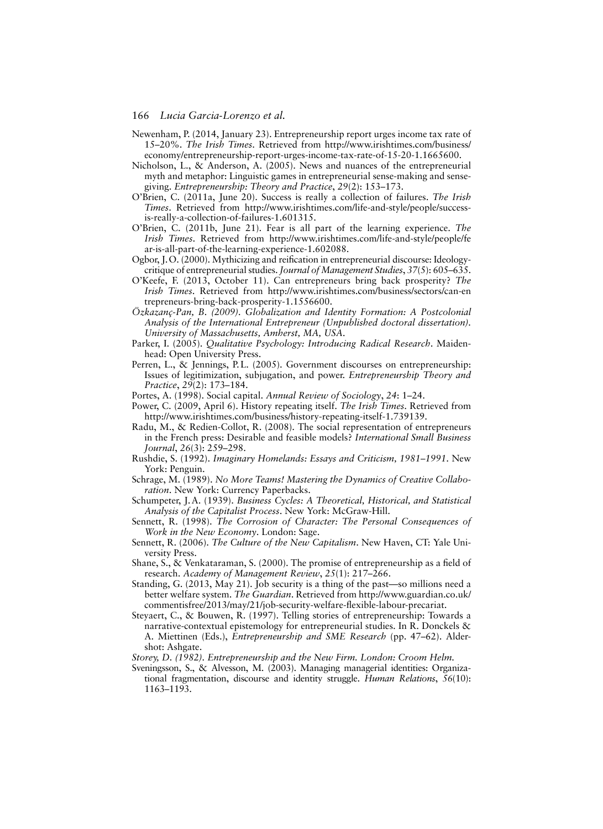- Newenham, P. (2014, January 23). Entrepreneurship report urges income tax rate of 15–20%. *The Irish Times*. Retrieved from http://www.irishtimes.com/business/ economy/entrepreneurship-report-urges-income-tax-rate-of-15-20-1.1665600 .
- Nicholson, L., & Anderson, A. (2005). News and nuances of the entrepreneurial myth and metaphor: Linguistic games in entrepreneurial sense-making and sensegiving. *Entrepreneurship: Theory and Practice* , *29* (2): 153–173.
- O'Brien, C. (2011a, June 20). Success is really a collection of failures. *The Irish Times* . Retrieved from http://www.irishtimes.com/life-and-style/people/successis-really-a-collection-of-failures-1.601315.
- O'Brien, C. (2011b, June 21). Fear is all part of the learning experience. *The Irish Times* . Retrieved from http://www.irishtimes.com/life-and-style/people/fe ar-is-all-part-of-the-learning-experience-1.602088 .
- Ogbor, J.O. (2000). Mythicizing and reification in entrepreneurial discourse: Ideologycritique of entrepreneurial studies. *Journal of Management Studies*, *37*(5): 605–635.
- O'Keefe, F. (2013, October 11). Can entrepreneurs bring back prosperity? *The Irish Times*. Retrieved from http://www.irishtimes.com/business/sectors/can-en trepreneurs-bring-back-prosperity-1.1556600 .
- *Özkazanç-Pan, B. (2009). Globalization and Identity Formation: A Postcolonial Analysis of the International Entrepreneur (Unpublished doctoral dissertation). University of Massachusetts, Amherst, MA, USA.*
- Parker, I. (2005). *Qualitative Psychology: Introducing Radical Research*. Maidenhead: Open University Press.
- Perren, L., & Jennings, P.L. (2005). Government discourses on entrepreneurship: Issues of legitimization, subjugation, and power. *Entrepreneurship Theory and Practice* , *29* (2): 173–184.
- Portes, A. (1998). Social capital. *Annual Review of Sociology* , *24* : 1–24.
- Power, C. (2009, April 6). History repeating itself. *The Irish Times*. Retrieved from http://www.irishtimes.com/business/history-repeating-itself-1.739139 .
- Radu, M., & Redien-Collot, R. (2008). The social representation of entrepreneurs in the French press: Desirable and feasible models? *International Small Business Journal* , *26* (3): 259–298.
- Rushdie, S. (1992). *Imaginary Homelands: Essays and Criticism, 1981 1991*. New York: Penguin.
- Schrage, M. (1989). *No More Teams! Mastering the Dynamics of Creative Collabo*ration. New York: Currency Paperbacks.
- Schumpeter, J. A. (1939). *Business Cycles: A Theoretical, Historical, and Statistical Analysis of the Capitalist Process* . New York: McGraw-Hill.
- Sennett, R. (1998). *The Corrosion of Character: The Personal Consequences of Work in the New Economy*. London: Sage.
- Sennett, R. (2006). *The Culture of the New Capitalism*. New Haven, CT: Yale University Press.
- Shane, S., & Venkataraman, S.  $(2000)$ . The promise of entrepreneurship as a field of research. *Academy of Management Review*, 25(1): 217-266.
- Standing, G. (2013, May 21). Job security is a thing of the past—so millions need a better welfare system. *The Guardian* . Retrieved from http://www.guardian.co.uk/ commentisfree/2013/may/21/job-security-welfare-flexible-labour-precariat.
- Steyaert, C., & Bouwen, R. (1997). Telling stories of entrepreneurship: Towards a narrative-contextual epistemology for entrepreneurial studies. In R. Donckels & A. Miettinen (Eds.), *Entrepreneurship and SME Research* (pp. 47–62). Aldershot: Ashgate.

*Storey, D. (1982). Entrepreneurship and the New Firm. London: Croom Helm.*

Sveningsson, S., & Alvesson, M. (2003). Managing managerial identities: Organizational fragmentation, discourse and identity struggle. *Human Relations*, *56*(10): 1163–1193.